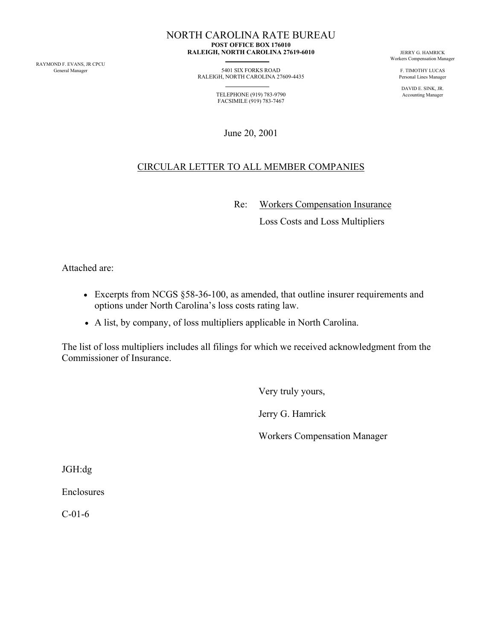RAYMOND F. EVANS, JR CPCU

NORTH CAROLINA RATE BUREAU  **POST OFFICE BOX 176010 RALEIGH, NORTH CAROLINA 27619-6010** JERRY G. HAMRICK

> 5401 SIX FORKS ROAD F. TIMOTHY LUCAS F. TIMOTHY LUCAS Personal Lines Manager 5401 SIX FORKS ROAD F. TIMOTHY LUCAS RALEIGH, NORTH CAROLINA 27609-4435

TELEPHONE (919) 783-9790 Accounting Manager FACSIMILE (919) 783-7467

June 20, 2001

## CIRCULAR LETTER TO ALL MEMBER COMPANIES

Re: Workers Compensation Insurance

Loss Costs and Loss Multipliers

Attached are:

- Excerpts from NCGS §58-36-100, as amended, that outline insurer requirements and options under North Carolina's loss costs rating law.
- A list, by company, of loss multipliers applicable in North Carolina.

The list of loss multipliers includes all filings for which we received acknowledgment from the Commissioner of Insurance.

Very truly yours,

Jerry G. Hamrick

Workers Compensation Manager

JGH:dg

Enclosures

C-01-6

Workers Compensation Manager

DAVID E. SINK, JR.